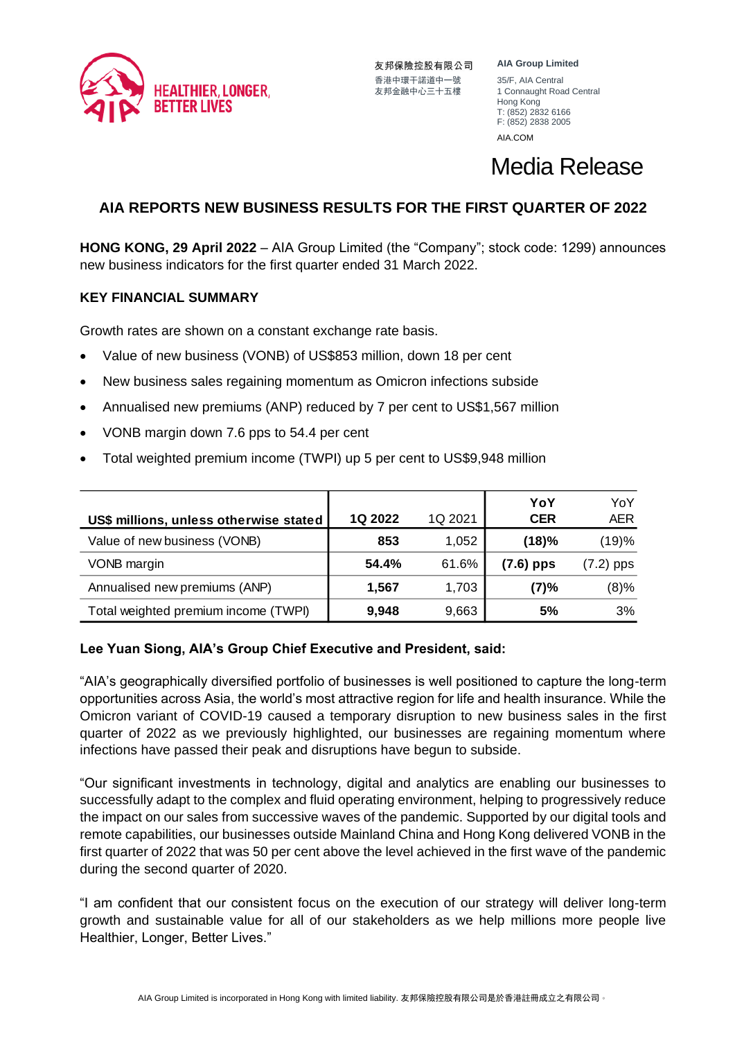

友邦保險控股有限公司 香港中環干諾道中一號 35/F, AIA Central<br>友邦金融中心三十五樓 1 Connaught Roa

**AIA Group Limited** 1 Connaught Road Central Hong Kong T: (852) 2832 6166 F: (852) 2838 2005 [AIA.COM](http://aia.com/)

## Media Release

## **AIA REPORTS NEW BUSINESS RESULTS FOR THE FIRST QUARTER OF 2022**

**HONG KONG, 29 April 2022** – AIA Group Limited (the "Company"; stock code: 1299) announces new business indicators for the first quarter ended 31 March 2022.

### **KEY FINANCIAL SUMMARY**

Growth rates are shown on a constant exchange rate basis.

- Value of new business (VONB) of US\$853 million, down 18 per cent
- New business sales regaining momentum as Omicron infections subside
- Annualised new premiums (ANP) reduced by 7 per cent to US\$1,567 million
- VONB margin down 7.6 pps to 54.4 per cent
- Total weighted premium income (TWPI) up 5 per cent to US\$9,948 million

|                                        |         |         | YoY        | YoY         |
|----------------------------------------|---------|---------|------------|-------------|
| US\$ millions, unless otherwise stated | 1Q 2022 | 1Q 2021 | <b>CER</b> | <b>AER</b>  |
| Value of new business (VONB)           | 853     | 1,052   | (18)%      | (19)%       |
| VONB margin                            | 54.4%   | 61.6%   | (7.6) pps  | $(7.2)$ pps |
| Annualised new premiums (ANP)          | 1,567   | 1,703   | (7)%       | $(8)\%$     |
| Total weighted premium income (TWPI)   | 9,948   | 9,663   | 5%         | 3%          |

#### **Lee Yuan Siong, AIA's Group Chief Executive and President, said:**

"AIA's geographically diversified portfolio of businesses is well positioned to capture the long-term opportunities across Asia, the world's most attractive region for life and health insurance. While the Omicron variant of COVID-19 caused a temporary disruption to new business sales in the first quarter of 2022 as we previously highlighted, our businesses are regaining momentum where infections have passed their peak and disruptions have begun to subside.

"Our significant investments in technology, digital and analytics are enabling our businesses to successfully adapt to the complex and fluid operating environment, helping to progressively reduce the impact on our sales from successive waves of the pandemic. Supported by our digital tools and remote capabilities, our businesses outside Mainland China and Hong Kong delivered VONB in the first quarter of 2022 that was 50 per cent above the level achieved in the first wave of the pandemic during the second quarter of 2020.

"I am confident that our consistent focus on the execution of our strategy will deliver long-term growth and sustainable value for all of our stakeholders as we help millions more people live Healthier, Longer, Better Lives."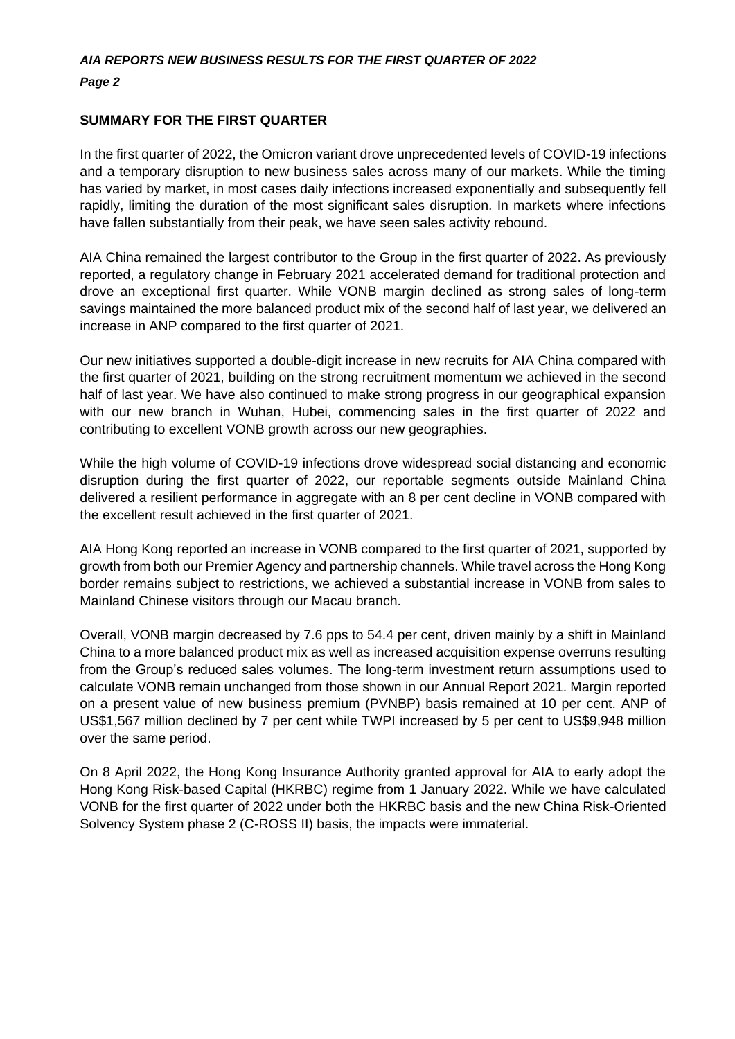*Page 2*

#### **SUMMARY FOR THE FIRST QUARTER**

In the first quarter of 2022, the Omicron variant drove unprecedented levels of COVID-19 infections and a temporary disruption to new business sales across many of our markets. While the timing has varied by market, in most cases daily infections increased exponentially and subsequently fell rapidly, limiting the duration of the most significant sales disruption. In markets where infections have fallen substantially from their peak, we have seen sales activity rebound.

AIA China remained the largest contributor to the Group in the first quarter of 2022. As previously reported, a regulatory change in February 2021 accelerated demand for traditional protection and drove an exceptional first quarter. While VONB margin declined as strong sales of long-term savings maintained the more balanced product mix of the second half of last year, we delivered an increase in ANP compared to the first quarter of 2021.

Our new initiatives supported a double-digit increase in new recruits for AIA China compared with the first quarter of 2021, building on the strong recruitment momentum we achieved in the second half of last year. We have also continued to make strong progress in our geographical expansion with our new branch in Wuhan, Hubei, commencing sales in the first quarter of 2022 and contributing to excellent VONB growth across our new geographies.

While the high volume of COVID-19 infections drove widespread social distancing and economic disruption during the first quarter of 2022, our reportable segments outside Mainland China delivered a resilient performance in aggregate with an 8 per cent decline in VONB compared with the excellent result achieved in the first quarter of 2021.

AIA Hong Kong reported an increase in VONB compared to the first quarter of 2021, supported by growth from both our Premier Agency and partnership channels. While travel across the Hong Kong border remains subject to restrictions, we achieved a substantial increase in VONB from sales to Mainland Chinese visitors through our Macau branch.

Overall, VONB margin decreased by 7.6 pps to 54.4 per cent, driven mainly by a shift in Mainland China to a more balanced product mix as well as increased acquisition expense overruns resulting from the Group's reduced sales volumes. The long-term investment return assumptions used to calculate VONB remain unchanged from those shown in our Annual Report 2021. Margin reported on a present value of new business premium (PVNBP) basis remained at 10 per cent. ANP of US\$1,567 million declined by 7 per cent while TWPI increased by 5 per cent to US\$9,948 million over the same period.

On 8 April 2022, the Hong Kong Insurance Authority granted approval for AIA to early adopt the Hong Kong Risk-based Capital (HKRBC) regime from 1 January 2022. While we have calculated VONB for the first quarter of 2022 under both the HKRBC basis and the new China Risk-Oriented Solvency System phase 2 (C-ROSS II) basis, the impacts were immaterial.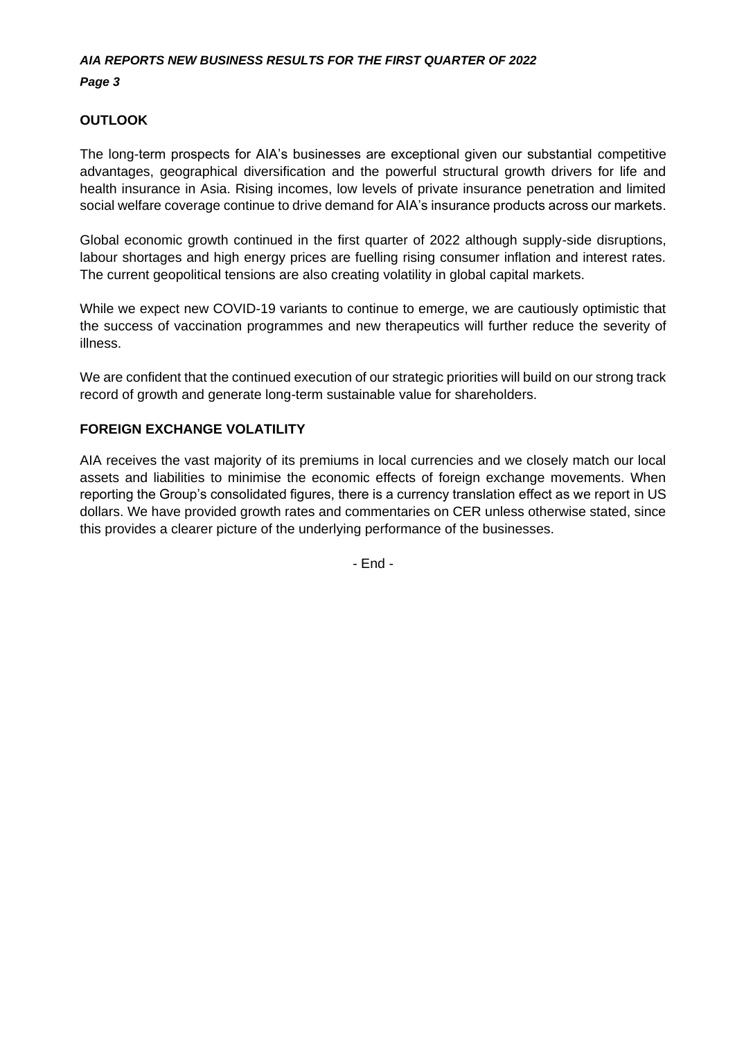*Page 3*

## **OUTLOOK**

The long-term prospects for AIA's businesses are exceptional given our substantial competitive advantages, geographical diversification and the powerful structural growth drivers for life and health insurance in Asia. Rising incomes, low levels of private insurance penetration and limited social welfare coverage continue to drive demand for AIA's insurance products across our markets.

Global economic growth continued in the first quarter of 2022 although supply-side disruptions, labour shortages and high energy prices are fuelling rising consumer inflation and interest rates. The current geopolitical tensions are also creating volatility in global capital markets.

While we expect new COVID-19 variants to continue to emerge, we are cautiously optimistic that the success of vaccination programmes and new therapeutics will further reduce the severity of illness.

We are confident that the continued execution of our strategic priorities will build on our strong track record of growth and generate long-term sustainable value for shareholders.

## **FOREIGN EXCHANGE VOLATILITY**

AIA receives the vast majority of its premiums in local currencies and we closely match our local assets and liabilities to minimise the economic effects of foreign exchange movements. When reporting the Group's consolidated figures, there is a currency translation effect as we report in US dollars. We have provided growth rates and commentaries on CER unless otherwise stated, since this provides a clearer picture of the underlying performance of the businesses.

- End -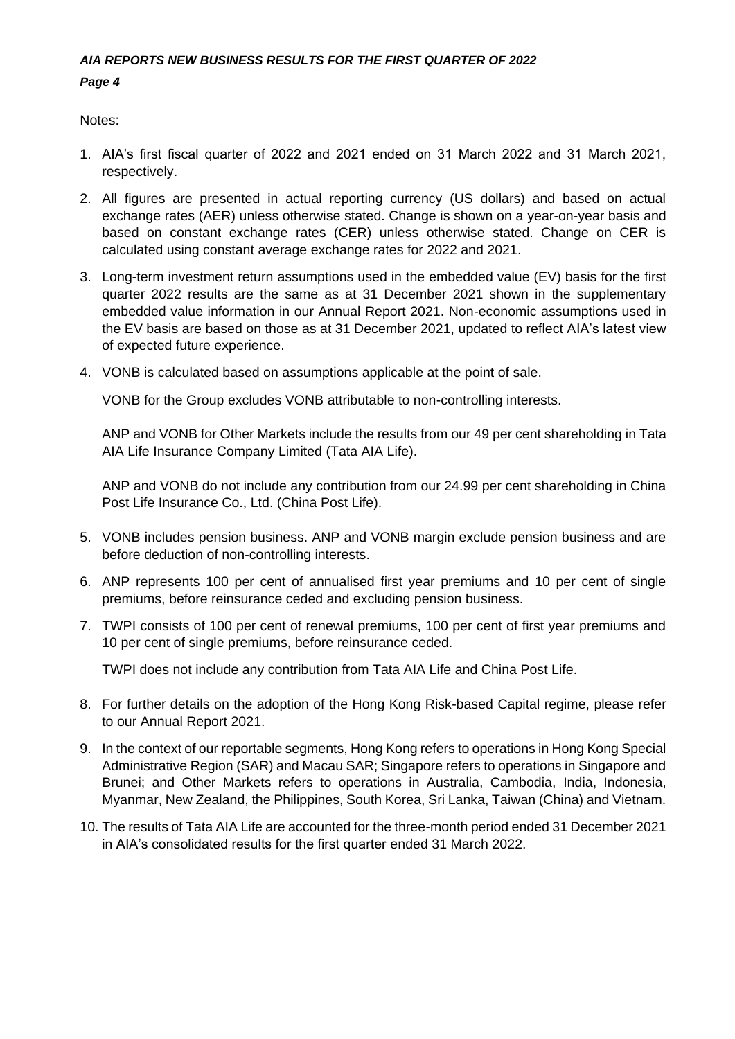*Page 4*

Notes:

- 1. AIA's first fiscal quarter of 2022 and 2021 ended on 31 March 2022 and 31 March 2021, respectively.
- 2. All figures are presented in actual reporting currency (US dollars) and based on actual exchange rates (AER) unless otherwise stated. Change is shown on a year-on-year basis and based on constant exchange rates (CER) unless otherwise stated. Change on CER is calculated using constant average exchange rates for 2022 and 2021.
- 3. Long-term investment return assumptions used in the embedded value (EV) basis for the first quarter 2022 results are the same as at 31 December 2021 shown in the supplementary embedded value information in our Annual Report 2021. Non-economic assumptions used in the EV basis are based on those as at 31 December 2021, updated to reflect AIA's latest view of expected future experience.
- 4. VONB is calculated based on assumptions applicable at the point of sale.

VONB for the Group excludes VONB attributable to non-controlling interests.

ANP and VONB for Other Markets include the results from our 49 per cent shareholding in Tata AIA Life Insurance Company Limited (Tata AIA Life).

ANP and VONB do not include any contribution from our 24.99 per cent shareholding in China Post Life Insurance Co., Ltd. (China Post Life).

- 5. VONB includes pension business. ANP and VONB margin exclude pension business and are before deduction of non-controlling interests.
- 6. ANP represents 100 per cent of annualised first year premiums and 10 per cent of single premiums, before reinsurance ceded and excluding pension business.
- 7. TWPI consists of 100 per cent of renewal premiums, 100 per cent of first year premiums and 10 per cent of single premiums, before reinsurance ceded.

TWPI does not include any contribution from Tata AIA Life and China Post Life.

- 8. For further details on the adoption of the Hong Kong Risk-based Capital regime, please refer to our Annual Report 2021.
- 9. In the context of our reportable segments, Hong Kong refers to operations in Hong Kong Special Administrative Region (SAR) and Macau SAR; Singapore refers to operations in Singapore and Brunei; and Other Markets refers to operations in Australia, Cambodia, India, Indonesia, Myanmar, New Zealand, the Philippines, South Korea, Sri Lanka, Taiwan (China) and Vietnam.
- 10. The results of Tata AIA Life are accounted for the three-month period ended 31 December 2021 in AIA's consolidated results for the first quarter ended 31 March 2022.